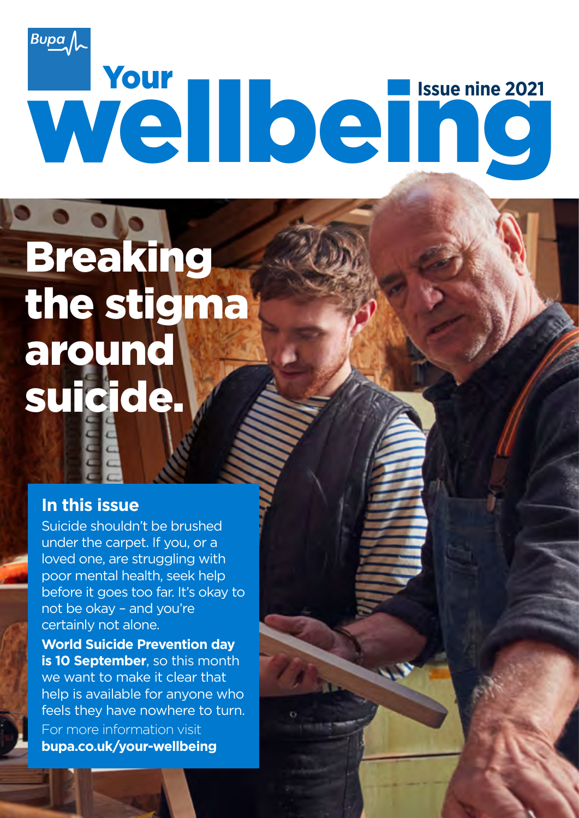# Wellbein<sup>ssue nine 2021</sup>  $B$ upa $\sim$

## Breaking the stigma around suicide.

#### **In this issue**

Suicide shouldn't be brushed under the carpet. If you, or a loved one, are struggling with poor mental health, seek help before it goes too far. It's okay to not be okay – and you're certainly not alone.

**World Suicide Prevention day is 10 September**, so this month we want to make it clear that help is available for anyone who feels they have nowhere to turn. For more information visit **bupa.co.uk/your-wellbeing**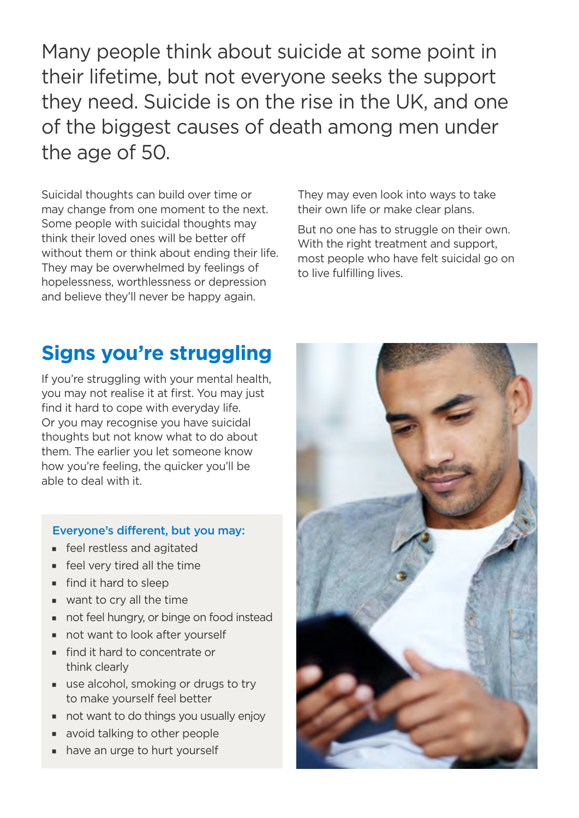Many people think about suicide at some point in their lifetime, but not everyone seeks the support they need. Suicide is on the rise in the UK, and one of the biggest causes of death among men under the age of 50.

Suicidal thoughts can build over time or may change from one moment to the next. Some people with suicidal thoughts may think their loved ones will be better off without them or think about ending their life. They may be overwhelmed by feelings of hopelessness, worthlessness or depression and believe they'll never be happy again.

They may even look into ways to take their own life or make clear plans.

But no one has to struggle on their own. With the right treatment and support. most people who have felt suicidal go on to live fulfilling lives.

#### **Signs you're struggling**

If you're struggling with your mental health, you may not realise it at first. You may just find it hard to cope with everyday life. Or you may recognise you have suicidal thoughts but not know what to do about them. The earlier you let someone know how you're feeling, the quicker you'll be able to deal with it.

#### Everyone's different, but you may:

- **Feel restless and agitated**
- $\blacksquare$  feel very tired all the time
- $\blacksquare$  find it hard to sleep
- $\blacksquare$  want to cry all the time
- not feel hungry, or binge on food instead
- $\blacksquare$  not want to look after yourself
- $\blacksquare$  find it hard to concentrate or think clearly
- use alcohol, smoking or drugs to try to make yourself feel better
- $\blacksquare$  not want to do things you usually enjoy
- avoid talking to other people
- have an urge to hurt yourself

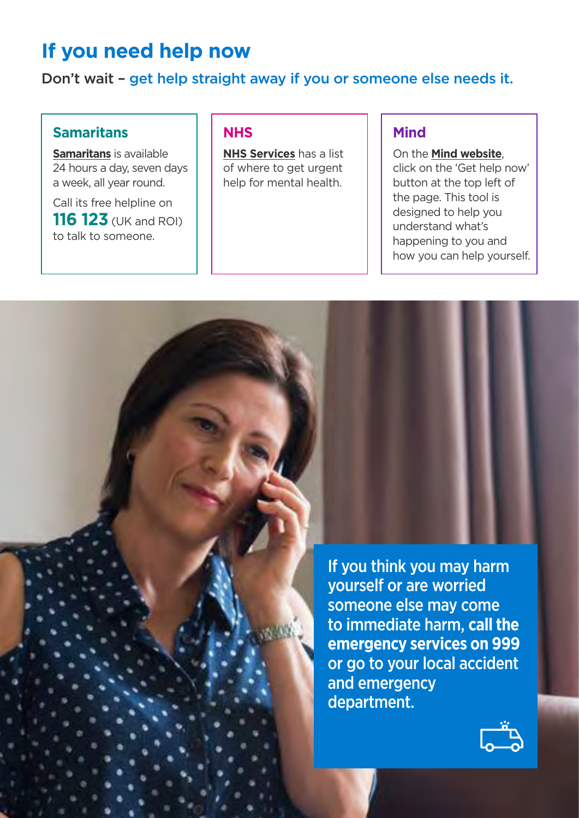#### **If you need help now**

Don't wait – get help straight away if you or someone else needs it.

#### Samaritans | NHS | Mind

**Samaritans** is available **NHS Services** has a list **Number of the Mind website**, a week, all year round.  $\|\cdot\|$  help for mental health.  $\|\cdot\|$  button at the top left of

**116 123** (UK and ROI)

24 hours a day, seven days  $\begin{vmatrix} 1 & 0 & 0 \\ 0 & 0 & 0 \end{vmatrix}$  of where to get urgent  $\begin{vmatrix} 1 & 0 & 0 \\ 0 & 1 & 0 \end{vmatrix}$  click on the 'Get help now' Call its free helpline on  $\begin{array}{|c|c|c|c|c|c|}\n\hline\n\end{array}$  This tool is designed to help you understand what's to talk to someone. happening to you and how you can help yourself.

> If you think you may harm yourself or are worried someone else may come to immediate harm, **call the emergency services on 999**  or go to your local accident and emergency department.

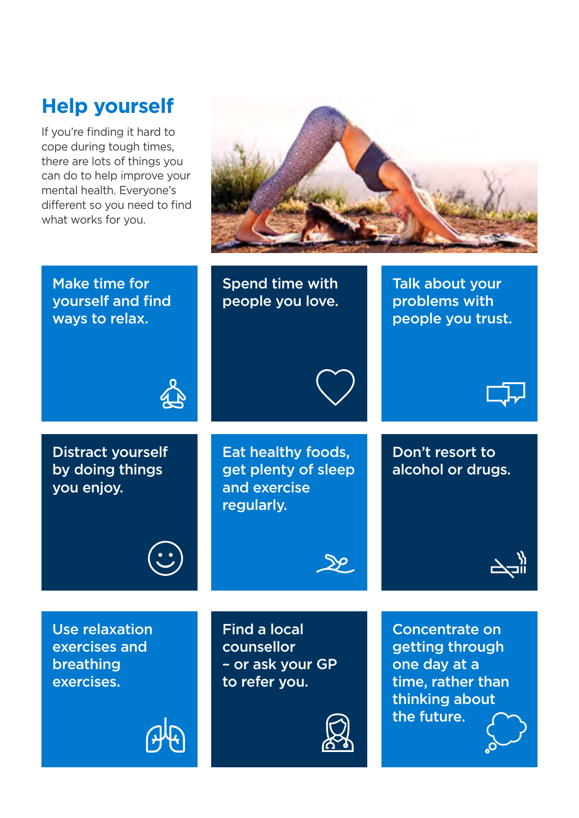### **Help yourself**

If you're finding it hard to cope during tough times, there are lots of things you can do to help improve your mental health. Everyone's different so you need to find what works for you.



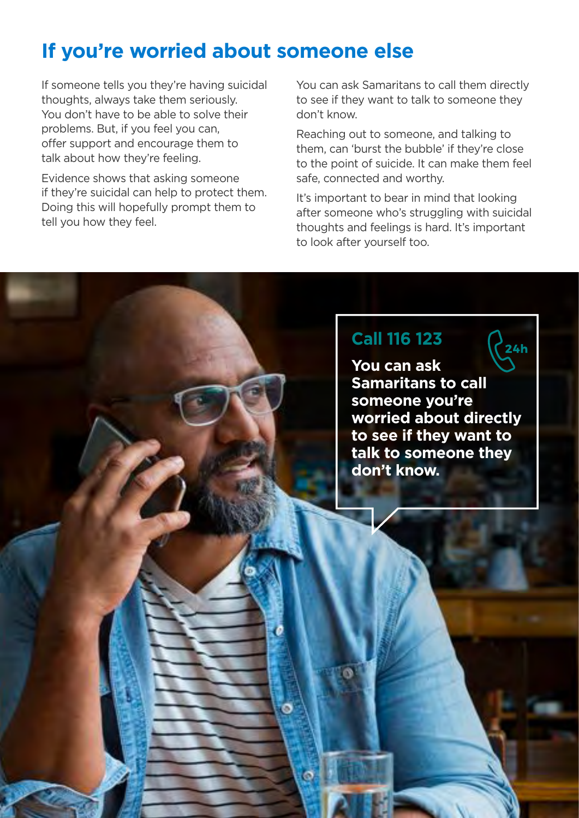#### **If you're worried about someone else**

If someone tells you they're having suicidal thoughts, always take them seriously. You don't have to be able to solve their problems. But, if you feel you can, offer support and encourage them to talk about how they're feeling.

Evidence shows that asking someone if they're suicidal can help to protect them. Doing this will hopefully prompt them to tell you how they feel.

You can ask Samaritans to call them directly to see if they want to talk to someone they don't know.

Reaching out to someone, and talking to them, can 'burst the bubble' if they're close to the point of suicide. It can make them feel safe, connected and worthy.

It's important to bear in mind that looking after someone who's struggling with suicidal thoughts and feelings is hard. It's important to look after yourself too.

#### **Call 116 123**

**You can ask Samaritans to call someone you're worried about directly to see if they want to talk to someone they don't know.**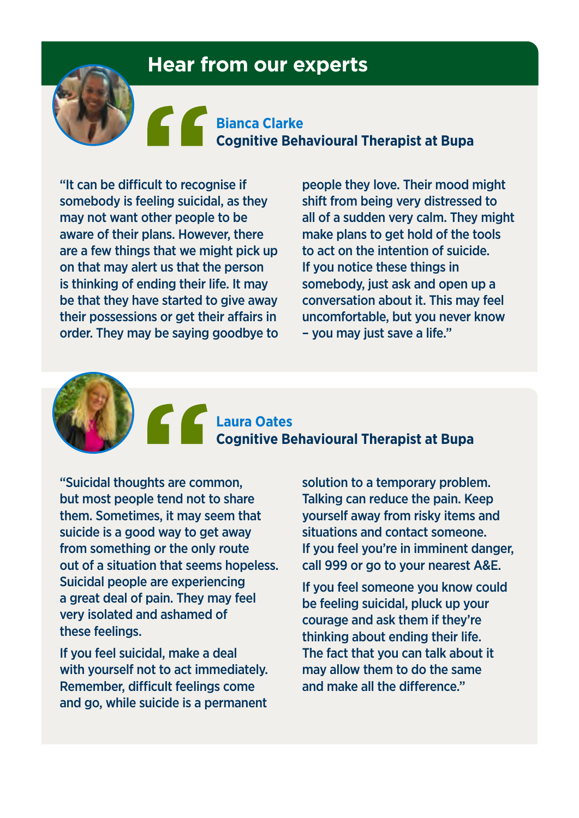#### **Hear from our experts**

#### **Bianca Clarke Cognitive Behavioural Therapist at Bupa**

"It can be difficult to recognise if somebody is feeling suicidal, as they may not want other people to be aware of their plans. However, there are a few things that we might pick up on that may alert us that the person is thinking of ending their life. It may be that they have started to give away their possessions or get their affairs in order. They may be saying goodbye to

people they love. Their mood might shift from being very distressed to all of a sudden very calm. They might make plans to get hold of the tools to act on the intention of suicide. If you notice these things in somebody, just ask and open up a conversation about it. This may feel uncomfortable, but you never know – you may just save a life."

**Laura Oates Cognitive Behavioural Therapist at Bupa** 

"Suicidal thoughts are common, but most people tend not to share them. Sometimes, it may seem that suicide is a good way to get away from something or the only route out of a situation that seems hopeless. Suicidal people are experiencing a great deal of pain. They may feel very isolated and ashamed of these feelings.

If you feel suicidal, make a deal with yourself not to act immediately. Remember, difficult feelings come and go, while suicide is a permanent

solution to a temporary problem. Talking can reduce the pain. Keep yourself away from risky items and situations and contact someone. If you feel you're in imminent danger, call 999 or go to your nearest A&E.

If you feel someone you know could be feeling suicidal, pluck up your courage and ask them if they're thinking about ending their life. The fact that you can talk about it may allow them to do the same and make all the diference."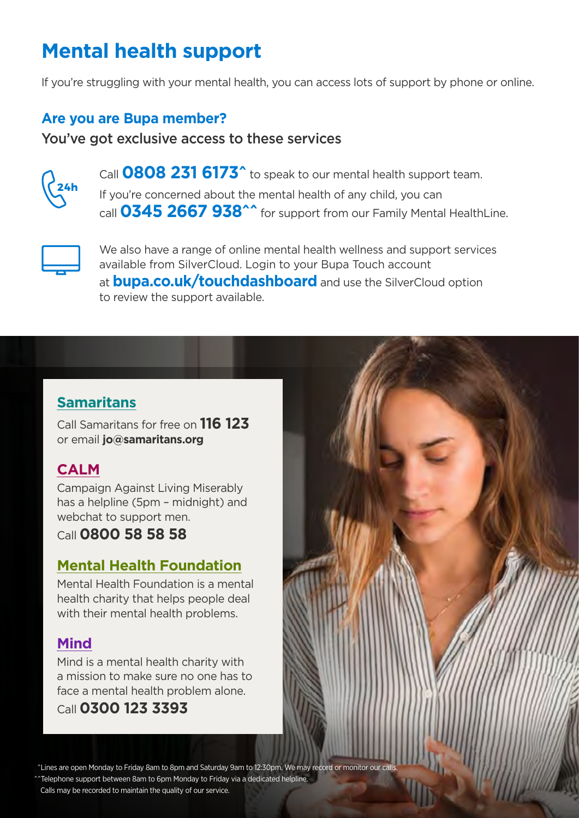## **Mental health support**

If you're struggling with your mental health, you can access lots of support by phone or online.

#### **Are you are Bupa member?**

#### You've got exclusive access to these services



Call **0808 231 6173^** to speak to our mental health support team. If you're concerned about the mental health of any child, you can call **0345 2667 938^^** for support from our Family Mental HealthLine.



We also have a range of online mental health wellness and support services available from SilverCloud. Login to your Bupa Touch account at **bupa.co.uk/touchdashboard** and use the SilverCloud option to review the support available.

#### **Samaritans**

 Call Samaritans for free on **116 123** or email **[jo@samaritans.org](mailto:jo@samaritans.org)** 

#### **CALM**

Campaign Against Living Miserably has a helpline (5pm – midnight) and webchat to support men.

Call **0800 58 58 58** 

#### **Mental Health Foundation**

Mental Health Foundation is a mental health charity that helps people deal with their mental health problems.

#### **Mind**

Mind is a mental health charity with a mission to make sure no one has to face a mental health problem alone.

#### Call **0300 123 3393**

^Lines are open Monday to Friday 8am to 8pm and Saturday 9am to 12:30pm. We may record or monitor our calls.

^^Telephone support between 8am to 6pm Monday to Friday via a dedicated helpline.

Calls may be recorded to maintain the quality of our service.